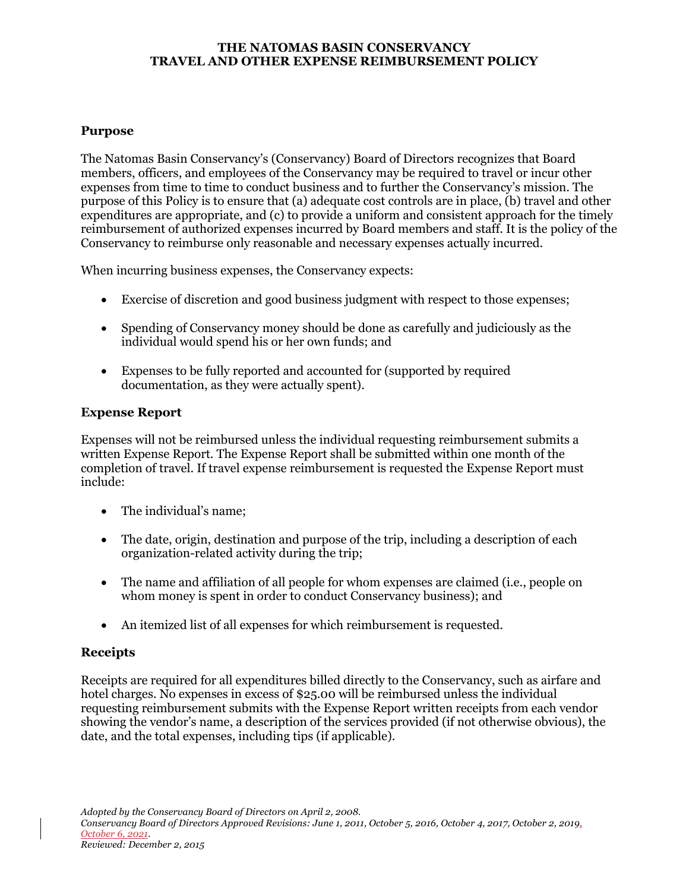#### **THE NATOMAS BASIN CONSERVANCY TRAVEL AND OTHER EXPENSE REIMBURSEMENT POLICY**

#### **Purpose**

The Natomas Basin Conservancy's (Conservancy) Board of Directors recognizes that Board members, officers, and employees of the Conservancy may be required to travel or incur other expenses from time to time to conduct business and to further the Conservancy's mission. The purpose of this Policy is to ensure that (a) adequate cost controls are in place, (b) travel and other expenditures are appropriate, and (c) to provide a uniform and consistent approach for the timely reimbursement of authorized expenses incurred by Board members and staff. It is the policy of the Conservancy to reimburse only reasonable and necessary expenses actually incurred.

When incurring business expenses, the Conservancy expects:

- Exercise of discretion and good business judgment with respect to those expenses;
- Spending of Conservancy money should be done as carefully and judiciously as the individual would spend his or her own funds; and
- Expenses to be fully reported and accounted for (supported by required documentation, as they were actually spent).

# **Expense Report**

Expenses will not be reimbursed unless the individual requesting reimbursement submits a written Expense Report. The Expense Report shall be submitted within one month of the completion of travel. If travel expense reimbursement is requested the Expense Report must include:

- The individual's name;
- The date, origin, destination and purpose of the trip, including a description of each organization-related activity during the trip;
- The name and affiliation of all people for whom expenses are claimed (i.e., people on whom money is spent in order to conduct Conservancy business); and
- An itemized list of all expenses for which reimbursement is requested.

# **Receipts**

Receipts are required for all expenditures billed directly to the Conservancy, such as airfare and hotel charges. No expenses in excess of \$25.00 will be reimbursed unless the individual requesting reimbursement submits with the Expense Report written receipts from each vendor showing the vendor's name, a description of the services provided (if not otherwise obvious), the date, and the total expenses, including tips (if applicable).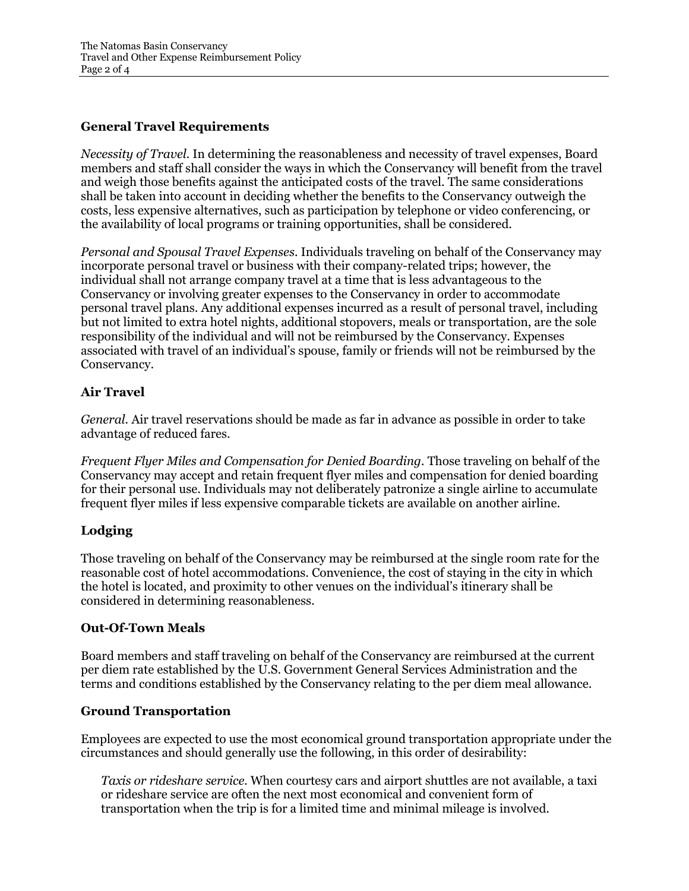## **General Travel Requirements**

*Necessity of Travel.* In determining the reasonableness and necessity of travel expenses, Board members and staff shall consider the ways in which the Conservancy will benefit from the travel and weigh those benefits against the anticipated costs of the travel. The same considerations shall be taken into account in deciding whether the benefits to the Conservancy outweigh the costs, less expensive alternatives, such as participation by telephone or video conferencing, or the availability of local programs or training opportunities, shall be considered.

*Personal and Spousal Travel Expenses.* Individuals traveling on behalf of the Conservancy may incorporate personal travel or business with their company-related trips; however, the individual shall not arrange company travel at a time that is less advantageous to the Conservancy or involving greater expenses to the Conservancy in order to accommodate personal travel plans. Any additional expenses incurred as a result of personal travel, including but not limited to extra hotel nights, additional stopovers, meals or transportation, are the sole responsibility of the individual and will not be reimbursed by the Conservancy. Expenses associated with travel of an individual's spouse, family or friends will not be reimbursed by the Conservancy.

### **Air Travel**

*General.* Air travel reservations should be made as far in advance as possible in order to take advantage of reduced fares.

*Frequent Flyer Miles and Compensation for Denied Boarding.* Those traveling on behalf of the Conservancy may accept and retain frequent flyer miles and compensation for denied boarding for their personal use. Individuals may not deliberately patronize a single airline to accumulate frequent flyer miles if less expensive comparable tickets are available on another airline.

#### **Lodging**

Those traveling on behalf of the Conservancy may be reimbursed at the single room rate for the reasonable cost of hotel accommodations. Convenience, the cost of staying in the city in which the hotel is located, and proximity to other venues on the individual's itinerary shall be considered in determining reasonableness.

#### **Out-Of-Town Meals**

Board members and staff traveling on behalf of the Conservancy are reimbursed at the current per diem rate established by the U.S. Government General Services Administration and the terms and conditions established by the Conservancy relating to the per diem meal allowance.

#### **Ground Transportation**

Employees are expected to use the most economical ground transportation appropriate under the circumstances and should generally use the following, in this order of desirability:

*Taxis or rideshare service.* When courtesy cars and airport shuttles are not available, a taxi or rideshare service are often the next most economical and convenient form of transportation when the trip is for a limited time and minimal mileage is involved.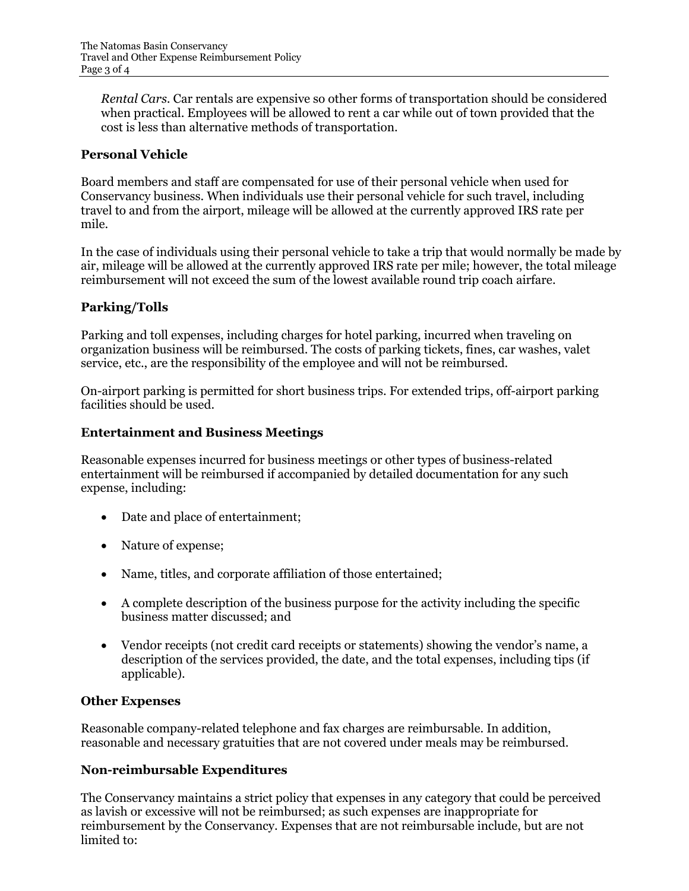*Rental Cars.* Car rentals are expensive so other forms of transportation should be considered when practical. Employees will be allowed to rent a car while out of town provided that the cost is less than alternative methods of transportation.

## **Personal Vehicle**

Board members and staff are compensated for use of their personal vehicle when used for Conservancy business. When individuals use their personal vehicle for such travel, including travel to and from the airport, mileage will be allowed at the currently approved IRS rate per mile.

In the case of individuals using their personal vehicle to take a trip that would normally be made by air, mileage will be allowed at the currently approved IRS rate per mile; however, the total mileage reimbursement will not exceed the sum of the lowest available round trip coach airfare.

# **Parking/Tolls**

Parking and toll expenses, including charges for hotel parking, incurred when traveling on organization business will be reimbursed. The costs of parking tickets, fines, car washes, valet service, etc., are the responsibility of the employee and will not be reimbursed.

On-airport parking is permitted for short business trips. For extended trips, off-airport parking facilities should be used.

#### **Entertainment and Business Meetings**

Reasonable expenses incurred for business meetings or other types of business-related entertainment will be reimbursed if accompanied by detailed documentation for any such expense, including:

- Date and place of entertainment;
- Nature of expense;
- Name, titles, and corporate affiliation of those entertained;
- A complete description of the business purpose for the activity including the specific business matter discussed; and
- Vendor receipts (not credit card receipts or statements) showing the vendor's name, a description of the services provided, the date, and the total expenses, including tips (if applicable).

#### **Other Expenses**

Reasonable company-related telephone and fax charges are reimbursable. In addition, reasonable and necessary gratuities that are not covered under meals may be reimbursed.

#### **Non-reimbursable Expenditures**

The Conservancy maintains a strict policy that expenses in any category that could be perceived as lavish or excessive will not be reimbursed; as such expenses are inappropriate for reimbursement by the Conservancy. Expenses that are not reimbursable include, but are not limited to: